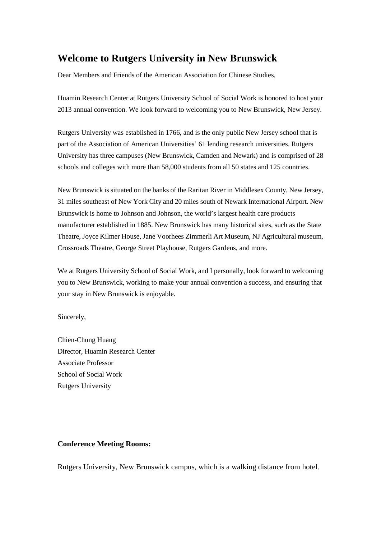# **Welcome to Rutgers University in New Brunswick**

Dear Members and Friends of the American Association for Chinese Studies,

Huamin Research Center at Rutgers University School of Social Work is honored to host your 2013 annual convention. We look forward to welcoming you to New Brunswick, New Jersey.

Rutgers University was established in 1766, and is the only public New Jersey school that is part of the Association of American Universities' 61 lending research universities. Rutgers University has three campuses (New Brunswick, Camden and Newark) and is comprised of 28 schools and colleges with more than 58,000 students from all 50 states and 125 countries.

New Brunswick is situated on the banks of the Raritan River in Middlesex County, New Jersey, 31 miles southeast of New York City and 20 miles south of Newark International Airport. New Brunswick is home to Johnson and Johnson, the world's largest health care products manufacturer established in 1885. New Brunswick has many historical sites, such as the State Theatre, Joyce Kilmer House, Jane Voorhees Zimmerli Art Museum, NJ Agricultural museum, Crossroads Theatre, George Street Playhouse, Rutgers Gardens, and more.

We at Rutgers University School of Social Work, and I personally, look forward to welcoming you to New Brunswick, working to make your annual convention a success, and ensuring that your stay in New Brunswick is enjoyable.

Sincerely,

Chien-Chung Huang Director, Huamin Research Center Associate Professor School of Social Work Rutgers University

### **Conference Meeting Rooms:**

Rutgers University, New Brunswick campus, which is a walking distance from hotel.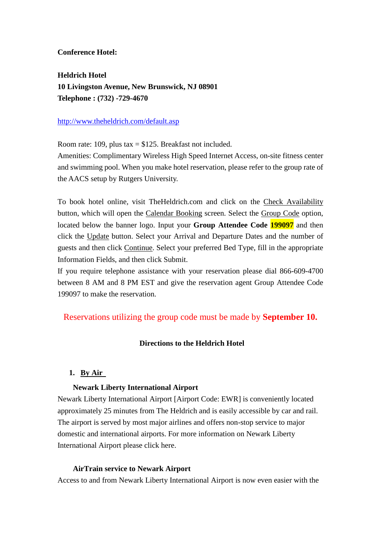# **Conference Hotel:**

**Heldrich Hotel 10 Livingston Avenue, New Brunswick, NJ 08901 Telephone : (732) -729-4670** 

# <http://www.theheldrich.com/default.asp>

Room rate: 109, plus tax  $=$  \$125. Breakfast not included.

Amenities: Complimentary Wireless High Speed Internet Access, on-site fitness center and swimming pool. When you make hotel reservation, please refer to the group rate of the AACS setup by Rutgers University.

To book hotel online, visit TheHeldrich.com and click on the Check Availability button, which will open the Calendar Booking screen. Select the Group Code option, located below the banner logo. Input your **Group Attendee Code 199097** and then click the Update button. Select your Arrival and Departure Dates and the number of guests and then click Continue. Select your preferred Bed Type, fill in the appropriate Information Fields, and then click Submit.

If you require telephone assistance with your reservation please dial 866-609-4700 between 8 AM and 8 PM EST and give the reservation agent Group Attendee Code 199097 to make the reservation.

# Reservations utilizing the group code must be made by **September 10.**

# **Directions to the Heldrich Hotel**

# **1. By Air**

# **Newark Liberty International Airport**

Newark Liberty International Airport [Airport Code: EWR] is conveniently located approximately 25 minutes from The Heldrich and is easily accessible by car and rail. The airport is served by most major airlines and offers non-stop service to major domestic and international airports. For more information on Newark Liberty International Airport please [click here.](http://www.panynj.gov/CommutingTravel/airports/html/newarkliberty.html)

# **AirTrain service to Newark Airport**

Access to and from Newark Liberty International Airport is now even easier with the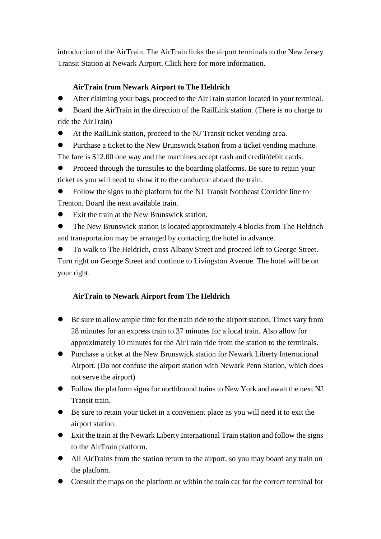introduction of the AirTrain. The AirTrain links the airport terminals to the New Jersey Transit Station at Newark Airport. [Click here](http://www.panynj.gov/airtrainnewark/index.php) for more information.

# **AirTrain from Newark Airport to The Heldrich**

After claiming your bags, proceed to the AirTrain station located in your terminal.

 Board the AirTrain in the direction of the RailLink station. (There is no charge to ride the AirTrain)

At the RailLink station, proceed to the NJ Transit ticket vending area.

 Purchase a ticket to the New Brunswick Station from a ticket vending machine. The fare is \$12.00 one way and the machines accept cash and credit/debit cards.

 Proceed through the turnstiles to the boarding platforms. Be sure to retain your ticket as you will need to show it to the conductor aboard the train.

 Follow the signs to the platform for the NJ Transit Northeast Corridor line to Trenton. Board the next available train.

Exit the train at the New Brunswick station.

 The New Brunswick station is located approximately 4 blocks from The Heldrich and transportation may be arranged by contacting the hotel in advance.

 To walk to The Heldrich, cross Albany Street and proceed left to George Street. Turn right on George Street and continue to Livingston Avenue. The hotel will be on your right.

# **AirTrain to Newark Airport from The Heldrich**

- Be sure to allow ample time for the train ride to the airport station. Times vary from 28 minutes for an express train to 37 minutes for a local train. Also allow for approximately 10 minutes for the AirTrain ride from the station to the terminals.
- Purchase a ticket at the New Brunswick station for Newark Liberty International Airport. (Do not confuse the airport station with Newark Penn Station, which does not serve the airport)
- Follow the platform signs for northbound trains to New York and await the next NJ Transit train.
- Be sure to retain your ticket in a convenient place as you will need it to exit the airport station.
- Exit the train at the Newark Liberty International Train station and follow the signs to the AirTrain platform.
- All AirTrains from the station return to the airport, so you may board any train on the platform.
- Consult the maps on the platform or within the train car for the correct terminal for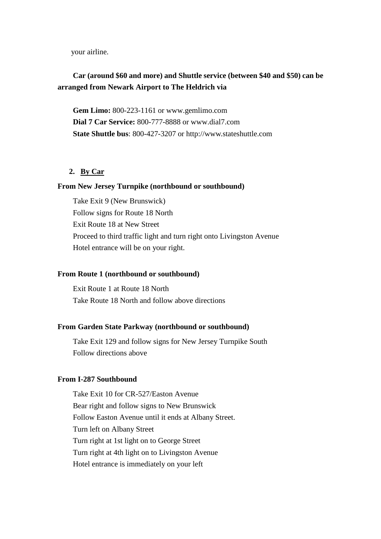your airline.

# **Car (around \$60 and more) and Shuttle service (between \$40 and \$50) can be arranged from Newark Airport to The Heldrich via**

**Gem Limo:** 800-223-1161 or [www.gemlimo.com](http://www.gemlimo.com/) **Dial 7 Car Service:** 800-777-8888 or www.dial7.com **State Shuttle bus**: 800-427-3207 or http://www.stateshuttle.com

## **2. By Car**

### **From New Jersey Turnpike (northbound or southbound)**

Take Exit 9 (New Brunswick) Follow signs for Route 18 North Exit Route 18 at New Street Proceed to third traffic light and turn right onto Livingston Avenue Hotel entrance will be on your right.

### **From Route 1 (northbound or southbound)**

Exit Route 1 at Route 18 North Take Route 18 North and follow above directions

#### **From Garden State Parkway (northbound or southbound)**

Take Exit 129 and follow signs for New Jersey Turnpike South Follow directions above

### **From I-287 Southbound**

Take Exit 10 for CR-527/Easton Avenue Bear right and follow signs to New Brunswick Follow Easton Avenue until it ends at Albany Street. Turn left on Albany Street Turn right at 1st light on to George Street Turn right at 4th light on to Livingston Avenue Hotel entrance is immediately on your left